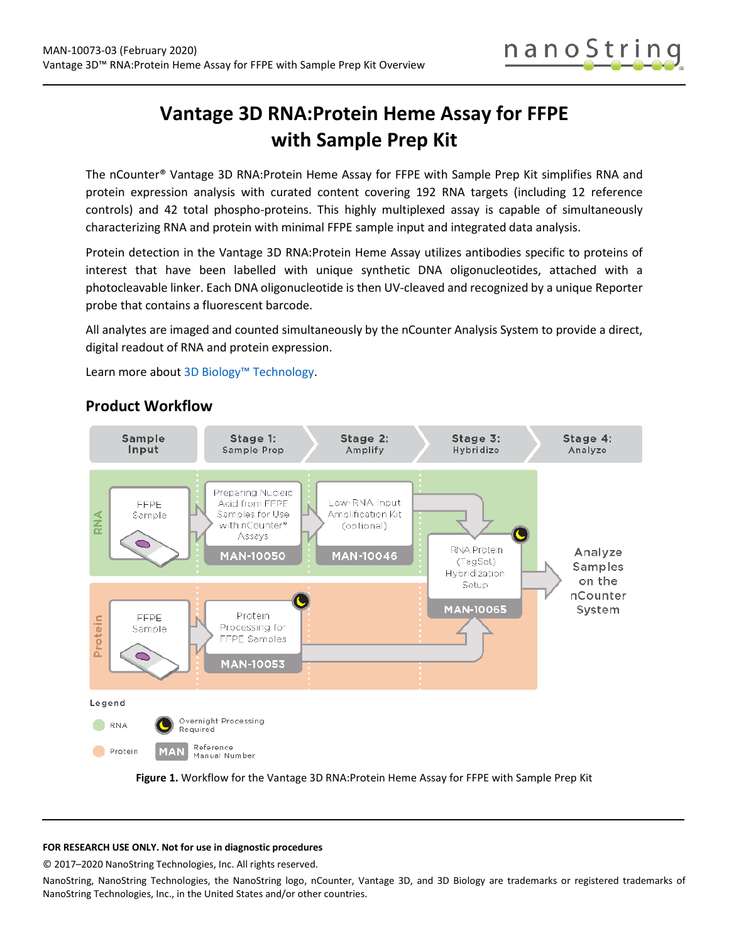

# **Vantage 3D RNA:Protein Heme Assay for FFPE with Sample Prep Kit**

The nCounter® Vantage 3D RNA:Protein Heme Assay for FFPE with Sample Prep Kit simplifies RNA and protein expression analysis with curated content covering 192 RNA targets (including 12 reference controls) and 42 total phospho-proteins. This highly multiplexed assay is capable of simultaneously characterizing RNA and protein with minimal FFPE sample input and integrated data analysis.

Protein detection in the Vantage 3D RNA:Protein Heme Assay utilizes antibodies specific to proteins of interest that have been labelled with unique synthetic DNA oligonucleotides, attached with a photocleavable linker. Each DNA oligonucleotide is then UV-cleaved and recognized by a unique Reporter probe that contains a fluorescent barcode.

All analytes are imaged and counted simultaneously by the nCounter Analysis System to provide a direct, digital readout of RNA and protein expression.

Learn more abou[t 3D Biology™ Technology.](https://www.nanostring.com/scientific-content/technology-overview/3d-biology-technology)



## **Product Workflow**

**Figure 1.** Workflow for the Vantage 3D RNA:Protein Heme Assay for FFPE with Sample Prep Kit

### **FOR RESEARCH USE ONLY. Not for use in diagnostic procedures**

© 2017–2020 NanoString Technologies, Inc. All rights reserved.

NanoString, NanoString Technologies, the NanoString logo, nCounter, Vantage 3D, and 3D Biology are trademarks or registered trademarks of NanoString Technologies, Inc., in the United States and/or other countries.